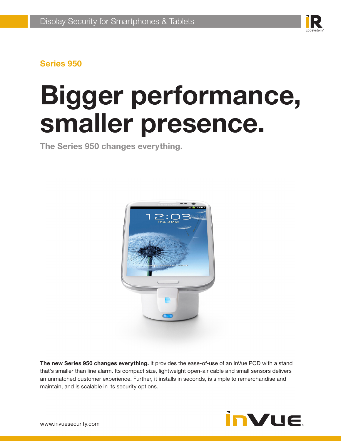

# **Bigger performance, smaller presence.**

**The Series 950 changes everything.**



**The new Series 950 changes everything.** It provides the ease-of-use of an InVue POD with a stand that's smaller than line alarm. Its compact size, lightweight open-air cable and small sensors delivers an unmatched customer experience. Further, it installs in seconds, is simple to remerchandise and maintain, and is scalable in its security options.

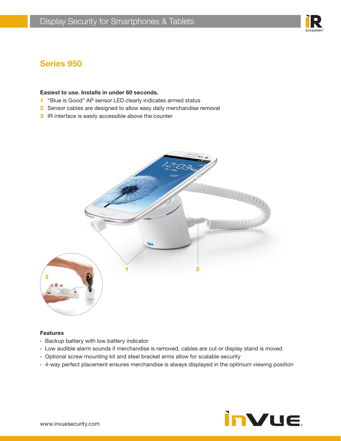

#### **Easiest to use. Installs in under 60 seconds.**

- 1 "Blue is Good" AP sensor LED clearly indicates armed status
- 2 Sensor cables are designed to allow easy daily merchandise removal
- **3** IR interface is easily accessible above the counter



#### **Features**

- › Backup battery with low battery indicator
- › Low audible alarm sounds if merchandise is removed, cables are cut or display stand is moved
- › Optional screw mounting kit and steel bracket arms allow for scalable security
- › 4-way perfect placement ensures merchandise is always displayed in the optimum viewing position

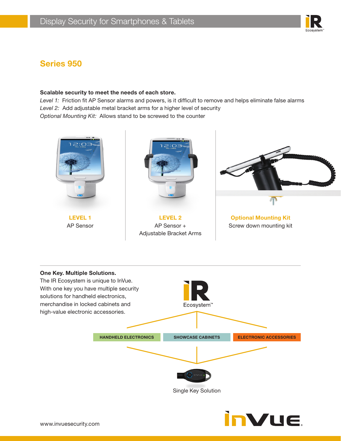#### **Scalable security to meet the needs of each store.**

*Level 1:* Friction fit AP Sensor alarms and powers, is it difficult to remove and helps eliminate false alarms *Level 2:* Add adjustable metal bracket arms for a higher level of security *Optional Mounting Kit:* Allows stand to be screwed to the counter





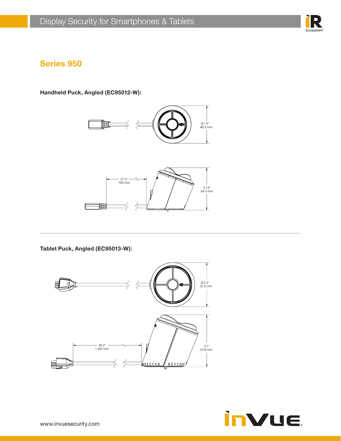

**Handheld Puck, Angled (EC95012-W):**





**Tablet Puck, Angled (EC95013-W):**



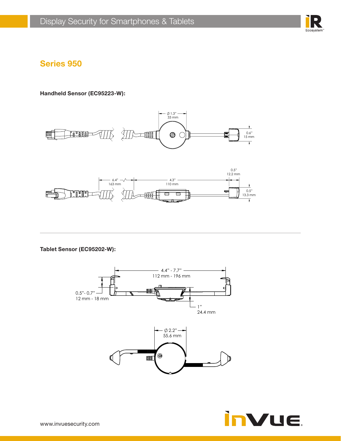

**Handheld Sensor (EC95223-W):**





**Tablet Sensor (EC95202-W):**

![](_page_4_Figure_7.jpeg)

![](_page_4_Picture_8.jpeg)